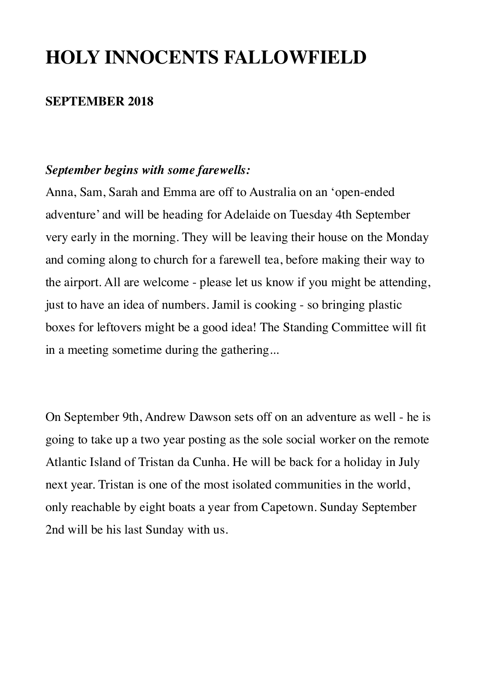## **HOLY INNOCENTS FALLOWFIELD**

### **SEPTEMBER 2018**

#### *September begins with some farewells:*

Anna, Sam, Sarah and Emma are off to Australia on an 'open-ended adventure' and will be heading for Adelaide on Tuesday 4th September very early in the morning. They will be leaving their house on the Monday and coming along to church for a farewell tea, before making their way to the airport. All are welcome - please let us know if you might be attending, just to have an idea of numbers. Jamil is cooking - so bringing plastic boxes for leftovers might be a good idea! The Standing Committee will fit in a meeting sometime during the gathering...

On September 9th, Andrew Dawson sets off on an adventure as well - he is going to take up a two year posting as the sole social worker on the remote Atlantic Island of Tristan da Cunha. He will be back for a holiday in July next year. Tristan is one of the most isolated communities in the world, only reachable by eight boats a year from Capetown. Sunday September 2nd will be his last Sunday with us.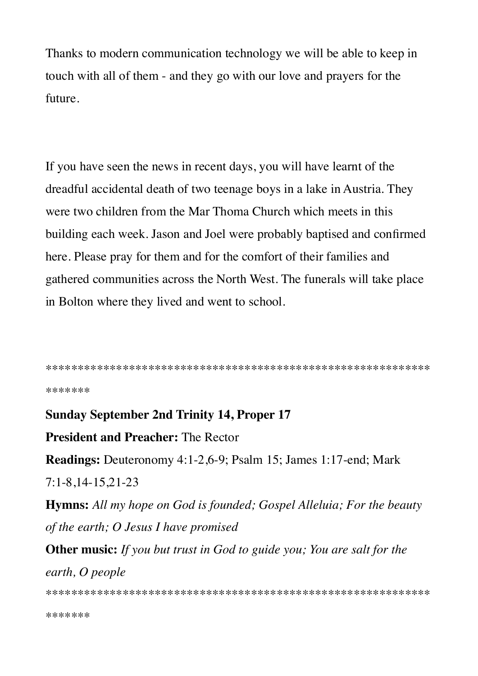Thanks to modern communication technology we will be able to keep in touch with all of them - and they go with our love and prayers for the future.

If you have seen the news in recent days, you will have learnt of the dreadful accidental death of two teenage boys in a lake in Austria. They were two children from the Mar Thoma Church which meets in this building each week. Jason and Joel were probably baptised and confirmed here. Please pray for them and for the comfort of their families and gathered communities across the North West. The funerals will take place in Bolton where they lived and went to school.

```
*******
```
**Sunday September 2nd Trinity 14, Proper 17 President and Preacher: The Rector Readings:** Deuteronomy 4:1-2,6-9; Psalm 15; James 1:17-end; Mark  $7:1-8,14-15,21-23$ **Hymns:** All my hope on God is founded; Gospel Alleluia; For the beauty of the earth; O Jesus I have promised **Other music:** If you but trust in God to guide you; You are salt for the earth, O people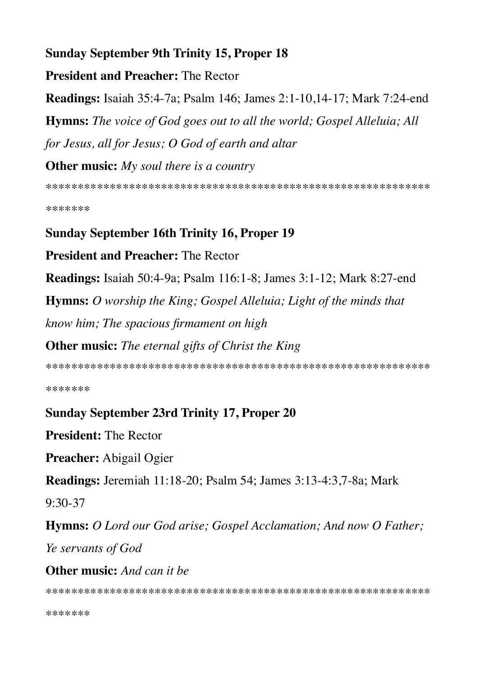## **Sunday September 9th Trinity 15, Proper 18**

**President and Preacher: The Rector** 

**Readings:** Isaiah 35:4-7a; Psalm 146; James 2:1-10,14-17; Mark 7:24-end

**Hymns:** The voice of God goes out to all the world; Gospel Alleluia; All for Jesus, all for Jesus; O God of earth and altar

**Other music:**  $My$  soul there is a country

\*\*\*\*\*\*\*

## **Sunday September 16th Trinity 16, Proper 19**

**President and Preacher: The Rector** 

Readings: Isaiah 50:4-9a; Psalm 116:1-8; James 3:1-12; Mark 8:27-end

**Hymns:** O worship the King; Gospel Alleluia; Light of the minds that

know him; The spacious firmament on high

**Other music:** The eternal gifts of Christ the King

\*\*\*\*\*\*\*

## **Sunday September 23rd Trinity 17, Proper 20**

**President: The Rector** 

**Preacher:** Abigail Ogier

**Readings:** Jeremiah 11:18-20; Psalm 54; James 3:13-4:3,7-8a; Mark

 $9:30-37$ 

**Hymns:** O Lord our God arise; Gospel Acclamation; And now O Father; Ye servants of God

**Other music:** And can it be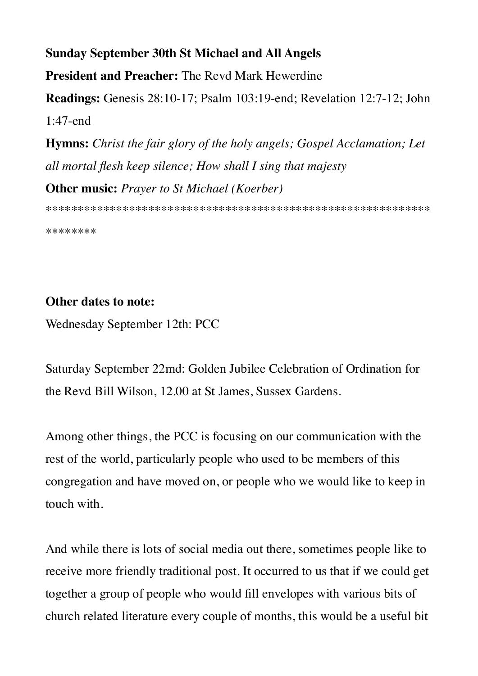# **Sunday September 30th St Michael and All Angels President and Preacher:** The Revd Mark Hewerdine **Readings:** Genesis 28:10-17; Psalm 103:19-end; Revelation 12:7-12; John 1:47-end **Hymns:** *Christ the fair glory of the holy angels; Gospel Acclamation; Let all mortal flesh keep silence; How shall I sing that majesty* **Other music:** *Prayer to St Michael (Koerber)*

\*\*\*\*\*\*\*\*\*\*\*\*\*\*\*\*\*\*\*\*\*\*\*\*\*\*\*\*\*\*\*\*\*\*\*\*\*\*\*\*\*\*\*\*\*\*\*\*\*\*\*\*\*\*\*\*\*\*\*\*

\*\*\*\*\*\*\*\*

### **Other dates to note:**

Wednesday September 12th: PCC

Saturday September 22md: Golden Jubilee Celebration of Ordination for the Revd Bill Wilson, 12.00 at St James, Sussex Gardens.

Among other things, the PCC is focusing on our communication with the rest of the world, particularly people who used to be members of this congregation and have moved on, or people who we would like to keep in touch with.

And while there is lots of social media out there, sometimes people like to receive more friendly traditional post. It occurred to us that if we could get together a group of people who would fill envelopes with various bits of church related literature every couple of months, this would be a useful bit